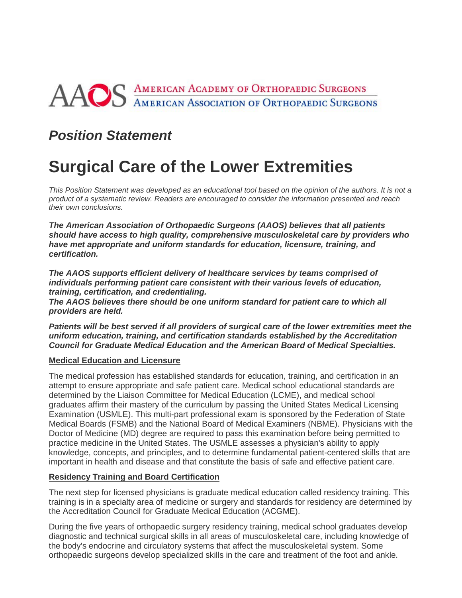# AAOS AMERICAN ACADEMY OF ORTHOPAEDIC SURGEONS

### *Position Statement*

## **Surgical Care of the Lower Extremities**

*This Position Statement was developed as an educational tool based on the opinion of the authors. It is not a product of a systematic review. Readers are encouraged to consider the information presented and reach their own conclusions.*

*The American Association of Orthopaedic Surgeons (AAOS) believes that all patients should have access to high quality, comprehensive musculoskeletal care by providers who have met appropriate and uniform standards for education, licensure, training, and certification.*

*The AAOS supports efficient delivery of healthcare services by teams comprised of individuals performing patient care consistent with their various levels of education, training, certification, and credentialing.*

*The AAOS believes there should be one uniform standard for patient care to which all providers are held.*

*Patients will be best served if all providers of surgical care of the lower extremities meet the uniform education, training, and certification standards established by the Accreditation Council for Graduate Medical Education and the American Board of Medical Specialties.*

#### **Medical Education and Licensure**

The medical profession has established standards for education, training, and certification in an attempt to ensure appropriate and safe patient care. Medical school educational standards are determined by the Liaison Committee for Medical Education (LCME), and medical school graduates affirm their mastery of the curriculum by passing the United States Medical Licensing Examination (USMLE). This multi-part professional exam is sponsored by the Federation of State Medical Boards (FSMB) and the National Board of Medical Examiners (NBME). Physicians with the Doctor of Medicine (MD) degree are required to pass this examination before being permitted to practice medicine in the United States. The USMLE assesses a physician's ability to apply knowledge, concepts, and principles, and to determine fundamental patient-centered skills that are important in health and disease and that constitute the basis of safe and effective patient care.

#### **Residency Training and Board Certification**

The next step for licensed physicians is graduate medical education called residency training. This training is in a specialty area of medicine or surgery and standards for residency are determined by the Accreditation Council for Graduate Medical Education (ACGME).

During the five years of orthopaedic surgery residency training, medical school graduates develop diagnostic and technical surgical skills in all areas of musculoskeletal care, including knowledge of the body's endocrine and circulatory systems that affect the musculoskeletal system. Some orthopaedic surgeons develop specialized skills in the care and treatment of the foot and ankle.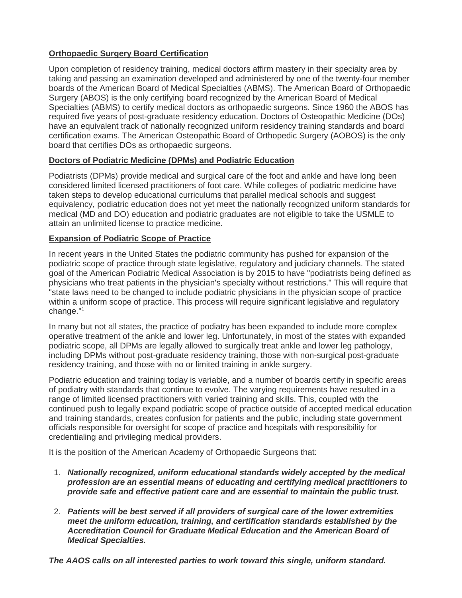#### **Orthopaedic Surgery Board Certification**

Upon completion of residency training, medical doctors affirm mastery in their specialty area by taking and passing an examination developed and administered by one of the twenty-four member boards of the American Board of Medical Specialties (ABMS). The American Board of Orthopaedic Surgery (ABOS) is the only certifying board recognized by the American Board of Medical Specialties (ABMS) to certify medical doctors as orthopaedic surgeons. Since 1960 the ABOS has required five years of post-graduate residency education. Doctors of Osteopathic Medicine (DOs) have an equivalent track of nationally recognized uniform residency training standards and board certification exams. The American Osteopathic Board of Orthopedic Surgery (AOBOS) is the only board that certifies DOs as orthopaedic surgeons.

#### **Doctors of Podiatric Medicine (DPMs) and Podiatric Education**

Podiatrists (DPMs) provide medical and surgical care of the foot and ankle and have long been considered limited licensed practitioners of foot care. While colleges of podiatric medicine have taken steps to develop educational curriculums that parallel medical schools and suggest equivalency, podiatric education does not yet meet the nationally recognized uniform standards for medical (MD and DO) education and podiatric graduates are not eligible to take the USMLE to attain an unlimited license to practice medicine.

#### **Expansion of Podiatric Scope of Practice**

In recent years in the United States the podiatric community has pushed for expansion of the podiatric scope of practice through state legislative, regulatory and judiciary channels. The stated goal of the American Podiatric Medical Association is by 2015 to have "podiatrists being defined as physicians who treat patients in the physician's specialty without restrictions." This will require that "state laws need to be changed to include podiatric physicians in the physician scope of practice within a uniform scope of practice. This process will require significant legislative and regulatory change."1

In many but not all states, the practice of podiatry has been expanded to include more complex operative treatment of the ankle and lower leg. Unfortunately, in most of the states with expanded podiatric scope, all DPMs are legally allowed to surgically treat ankle and lower leg pathology, including DPMs without post-graduate residency training, those with non-surgical post-graduate residency training, and those with no or limited training in ankle surgery.

Podiatric education and training today is variable, and a number of boards certify in specific areas of podiatry with standards that continue to evolve. The varying requirements have resulted in a range of limited licensed practitioners with varied training and skills. This, coupled with the continued push to legally expand podiatric scope of practice outside of accepted medical education and training standards, creates confusion for patients and the public, including state government officials responsible for oversight for scope of practice and hospitals with responsibility for credentialing and privileging medical providers.

It is the position of the American Academy of Orthopaedic Surgeons that:

- 1. *Nationally recognized, uniform educational standards widely accepted by the medical profession are an essential means of educating and certifying medical practitioners to provide safe and effective patient care and are essential to maintain the public trust.*
- 2. *Patients will be best served if all providers of surgical care of the lower extremities meet the uniform education, training, and certification standards established by the Accreditation Council for Graduate Medical Education and the American Board of Medical Specialties.*

*The AAOS calls on all interested parties to work toward this single, uniform standard.*